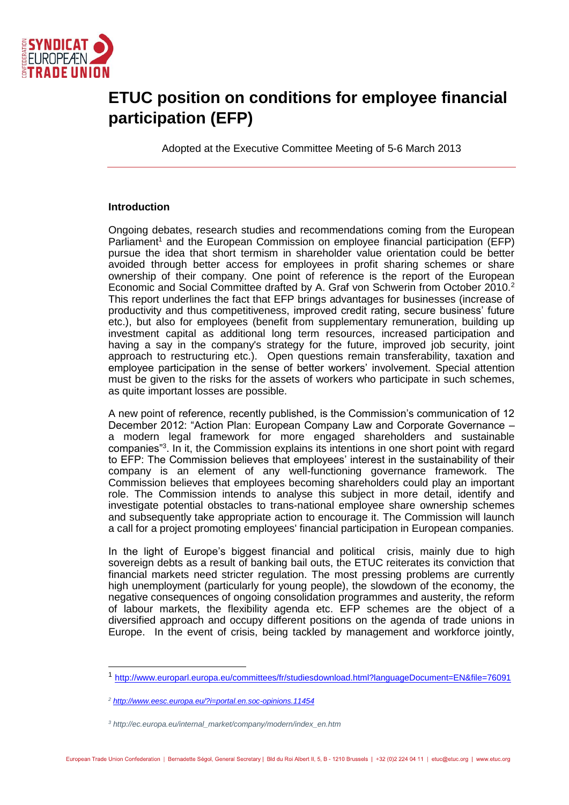

## **ETUC position on conditions for employee financial participation (EFP)**

Adopted at the Executive Committee Meeting of 5-6 March 2013

## **Introduction**

Ongoing debates, research studies and recommendations coming from the European Parliament<sup>1</sup> and the European Commission on employee financial participation (EFP) pursue the idea that short termism in shareholder value orientation could be better avoided through better access for employees in profit sharing schemes or share ownership of their company. One point of reference is the report of the European Economic and Social Committee drafted by A. Graf von Schwerin from October 2010.<sup>2</sup> This report underlines the fact that EFP brings advantages for businesses (increase of productivity and thus competitiveness, improved credit rating, secure business' future etc.), but also for employees (benefit from supplementary remuneration, building up investment capital as additional long term resources, increased participation and having a say in the company's strategy for the future, improved job security, joint approach to restructuring etc.). Open questions remain transferability, taxation and employee participation in the sense of better workers' involvement. Special attention must be given to the risks for the assets of workers who participate in such schemes, as quite important losses are possible.

A new point of reference, recently published, is the Commission's communication of 12 December 2012: "Action Plan: European Company Law and Corporate Governance – a modern legal framework for more engaged shareholders and sustainable companies"<sup>3</sup> . In it, the Commission explains its intentions in one short point with regard to EFP: The Commission believes that employees' interest in the sustainability of their company is an element of any well-functioning governance framework. The Commission believes that employees becoming shareholders could play an important role. The Commission intends to analyse this subject in more detail, identify and investigate potential obstacles to trans-national employee share ownership schemes and subsequently take appropriate action to encourage it. The Commission will launch a call for a project promoting employees' financial participation in European companies.

In the light of Europe's biggest financial and political crisis, mainly due to high sovereign debts as a result of banking bail outs, the ETUC reiterates its conviction that financial markets need stricter regulation. The most pressing problems are currently high unemployment (particularly for young people), the slowdown of the economy, the negative consequences of ongoing consolidation programmes and austerity, the reform of labour markets, the flexibility agenda etc. EFP schemes are the object of a diversified approach and occupy different positions on the agenda of trade unions in Europe. In the event of crisis, being tackled by management and workforce jointly,

<sup>1</sup> <http://www.europarl.europa.eu/committees/fr/studiesdownload.html?languageDocument=EN&file=76091>

*<sup>2</sup> <http://www.eesc.europa.eu/?i=portal.en.soc-opinions.11454>*

*<sup>3</sup> http://ec.europa.eu/internal\_market/company/modern/index\_en.htm*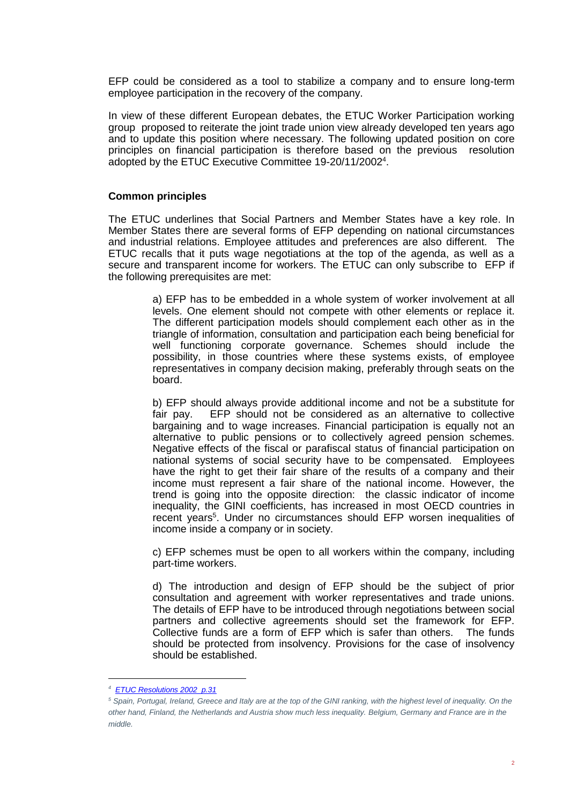EFP could be considered as a tool to stabilize a company and to ensure long-term employee participation in the recovery of the company.

In view of these different European debates, the ETUC Worker Participation working group proposed to reiterate the joint trade union view already developed ten years ago and to update this position where necessary. The following updated position on core principles on financial participation is therefore based on the previous resolution adopted by the ETUC Executive Committee 19-20/11/2002<sup>4</sup>.

## **Common principles**

The ETUC underlines that Social Partners and Member States have a key role. In Member States there are several forms of EFP depending on national circumstances and industrial relations. Employee attitudes and preferences are also different. The ETUC recalls that it puts wage negotiations at the top of the agenda, as well as a secure and transparent income for workers. The ETUC can only subscribe to EFP if the following prerequisites are met:

> a) EFP has to be embedded in a whole system of worker involvement at all levels. One element should not compete with other elements or replace it. The different participation models should complement each other as in the triangle of information, consultation and participation each being beneficial for well functioning corporate governance. Schemes should include the possibility, in those countries where these systems exists, of employee representatives in company decision making, preferably through seats on the board.

> b) EFP should always provide additional income and not be a substitute for fair pay. EFP should not be considered as an alternative to collective bargaining and to wage increases. Financial participation is equally not an alternative to public pensions or to collectively agreed pension schemes. Negative effects of the fiscal or parafiscal status of financial participation on national systems of social security have to be compensated. Employees have the right to get their fair share of the results of a company and their income must represent a fair share of the national income. However, the trend is going into the opposite direction: the classic indicator of income inequality, the GINI coefficients, has increased in most OECD countries in recent years<sup>5</sup>. Under no circumstances should EFP worsen inequalities of income inside a company or in society.

> c) EFP schemes must be open to all workers within the company, including part-time workers.

> d) The introduction and design of EFP should be the subject of prior consultation and agreement with worker representatives and trade unions. The details of EFP have to be introduced through negotiations between social partners and collective agreements should set the framework for EFP. Collective funds are a form of EFP which is safer than others. The funds should be protected from insolvency. Provisions for the case of insolvency should be established.

*<sup>4</sup>  [ETUC Resolutions 2002 p.31](http://www.etuc.org/IMG/pdf/Prior_2002_EN_-17_02_03.pdf)*

*<sup>5</sup> Spain, Portugal, Ireland, Greece and Italy are at the top of the GINI ranking, with the highest level of inequality. On the other hand, Finland, the Netherlands and Austria show much less inequality. Belgium, Germany and France are in the middle.*